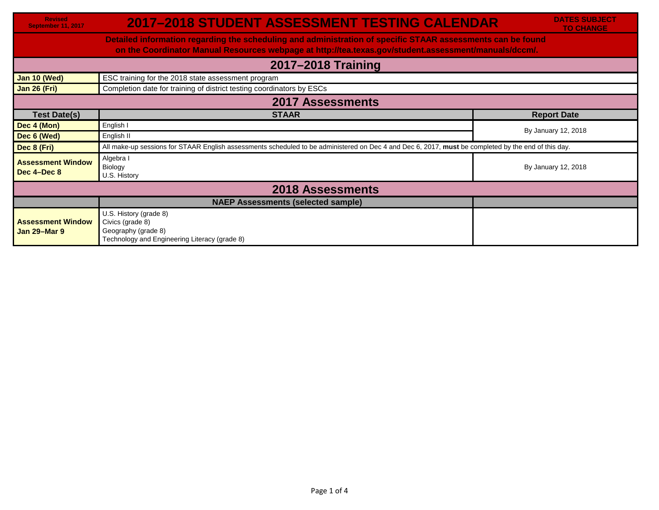| <b>Revised</b><br>September 11, 2017                                                                                                                                                                                 | <b>2017-2018 STUDENT ASSESSMENT TESTING CALENDAR</b>                                                                                                | <b>DATES SUBJECT</b><br><b>TO CHANGE</b> |  |  |
|----------------------------------------------------------------------------------------------------------------------------------------------------------------------------------------------------------------------|-----------------------------------------------------------------------------------------------------------------------------------------------------|------------------------------------------|--|--|
| Detailed information regarding the scheduling and administration of specific STAAR assessments can be found<br>on the Coordinator Manual Resources webpage at http://tea.texas.gov/student.assessment/manuals/dccm/. |                                                                                                                                                     |                                          |  |  |
| 2017-2018 Training                                                                                                                                                                                                   |                                                                                                                                                     |                                          |  |  |
| Jan 10 (Wed)                                                                                                                                                                                                         | ESC training for the 2018 state assessment program                                                                                                  |                                          |  |  |
| <b>Jan 26 (Fri)</b>                                                                                                                                                                                                  | Completion date for training of district testing coordinators by ESCs                                                                               |                                          |  |  |
| <b>2017 Assessments</b>                                                                                                                                                                                              |                                                                                                                                                     |                                          |  |  |
| <b>Test Date(s)</b>                                                                                                                                                                                                  | <b>STAAR</b>                                                                                                                                        | <b>Report Date</b>                       |  |  |
| Dec 4 (Mon)                                                                                                                                                                                                          | English I                                                                                                                                           |                                          |  |  |
| Dec 6 (Wed)                                                                                                                                                                                                          | English II                                                                                                                                          | By January 12, 2018                      |  |  |
| Dec 8 (Fri)                                                                                                                                                                                                          | All make-up sessions for STAAR English assessments scheduled to be administered on Dec 4 and Dec 6, 2017, must be completed by the end of this day. |                                          |  |  |
| <b>Assessment Window</b><br>Dec 4-Dec 8                                                                                                                                                                              | Algebra I<br>Biology<br>U.S. History                                                                                                                | By January 12, 2018                      |  |  |
| <b>2018 Assessments</b>                                                                                                                                                                                              |                                                                                                                                                     |                                          |  |  |
|                                                                                                                                                                                                                      | <b>NAEP Assessments (selected sample)</b>                                                                                                           |                                          |  |  |
| <b>Assessment Window</b><br><b>Jan 29-Mar 9</b>                                                                                                                                                                      | U.S. History (grade 8)<br>Civics (grade 8)<br>Geography (grade 8)<br>Technology and Engineering Literacy (grade 8)                                  |                                          |  |  |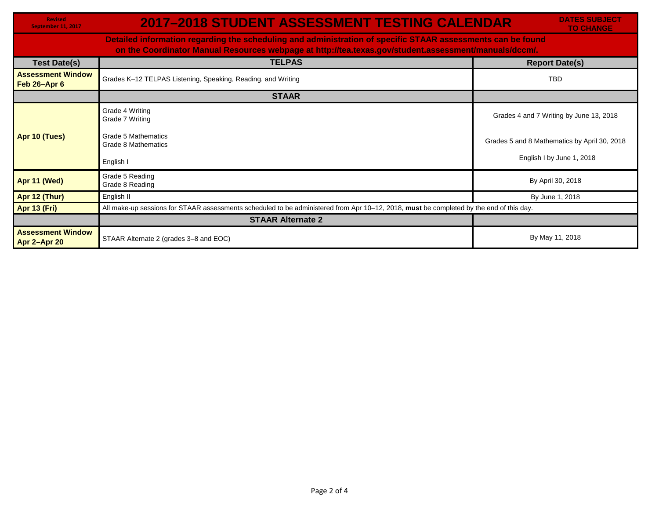| <b>Revised</b><br>September 11, 2017                                                                                                                                                                                 | <b>2017-2018 STUDENT ASSESSMENT TESTING CALENDAR</b>                                                                                    | <b>DATES SUBJECT</b><br><b>TO CHANGE</b>     |  |  |
|----------------------------------------------------------------------------------------------------------------------------------------------------------------------------------------------------------------------|-----------------------------------------------------------------------------------------------------------------------------------------|----------------------------------------------|--|--|
| Detailed information regarding the scheduling and administration of specific STAAR assessments can be found<br>on the Coordinator Manual Resources webpage at http://tea.texas.gov/student.assessment/manuals/dccm/. |                                                                                                                                         |                                              |  |  |
| <b>Test Date(s)</b>                                                                                                                                                                                                  | <b>TELPAS</b>                                                                                                                           | <b>Report Date(s)</b>                        |  |  |
| <b>Assessment Window</b><br>Feb 26-Apr 6                                                                                                                                                                             | Grades K-12 TELPAS Listening, Speaking, Reading, and Writing                                                                            | <b>TBD</b>                                   |  |  |
|                                                                                                                                                                                                                      | <b>STAAR</b>                                                                                                                            |                                              |  |  |
|                                                                                                                                                                                                                      | Grade 4 Writing<br>Grade 7 Writing                                                                                                      | Grades 4 and 7 Writing by June 13, 2018      |  |  |
| Apr 10 (Tues)                                                                                                                                                                                                        | Grade 5 Mathematics<br>Grade 8 Mathematics                                                                                              | Grades 5 and 8 Mathematics by April 30, 2018 |  |  |
|                                                                                                                                                                                                                      | English I                                                                                                                               | English I by June 1, 2018                    |  |  |
| Apr 11 (Wed)                                                                                                                                                                                                         | Grade 5 Reading<br>Grade 8 Reading                                                                                                      | By April 30, 2018                            |  |  |
| Apr 12 (Thur)                                                                                                                                                                                                        | English II                                                                                                                              | By June 1, 2018                              |  |  |
| Apr 13 (Fri)                                                                                                                                                                                                         | All make-up sessions for STAAR assessments scheduled to be administered from Apr 10-12, 2018, must be completed by the end of this day. |                                              |  |  |
|                                                                                                                                                                                                                      | <b>STAAR Alternate 2</b>                                                                                                                |                                              |  |  |
| <b>Assessment Window</b><br>Apr 2-Apr 20                                                                                                                                                                             | STAAR Alternate 2 (grades 3-8 and EOC)                                                                                                  | By May 11, 2018                              |  |  |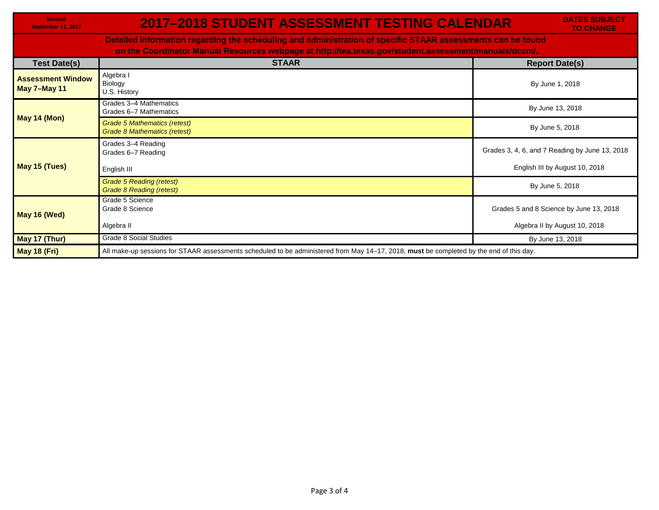**Revised September 11, 2017**

## **2017–2018 STUDENT ASSESSMENT TESTING CALENDAR**

**DATES SUBJECT TO CHANGE**

**Detailed information regarding the scheduling and administration of specific STAAR assessments can be found on the Coordinator Manual Resources webpage at http://tea.texas.gov/student.assessment/manuals/dccm/.**

| <b>Test Date(s)</b>                             | <b>STAAR</b>                                                                                                                            | <b>Report Date(s)</b>                          |
|-------------------------------------------------|-----------------------------------------------------------------------------------------------------------------------------------------|------------------------------------------------|
| <b>Assessment Window</b><br><b>May 7-May 11</b> | Algebra I<br>Biology<br>U.S. History                                                                                                    | By June 1, 2018                                |
| <b>May 14 (Mon)</b>                             | Grades 3-4 Mathematics<br>Grades 6-7 Mathematics                                                                                        | By June 13, 2018                               |
|                                                 | Grade 5 Mathematics (retest)<br>Grade 8 Mathematics (retest)                                                                            | By June 5, 2018                                |
| May 15 (Tues)                                   | Grades 3-4 Reading<br>Grades 6-7 Reading                                                                                                | Grades 3, 4, 6, and 7 Reading by June 13, 2018 |
|                                                 | English III                                                                                                                             | English III by August 10, 2018                 |
|                                                 | <b>Grade 5 Reading (retest)</b><br><b>Grade 8 Reading (retest)</b>                                                                      | By June 5, 2018                                |
| May 16 (Wed)                                    | Grade 5 Science<br>Grade 8 Science                                                                                                      | Grades 5 and 8 Science by June 13, 2018        |
|                                                 | Algebra II                                                                                                                              | Algebra II by August 10, 2018                  |
| May 17 (Thur)                                   | <b>Grade 8 Social Studies</b>                                                                                                           | By June 13, 2018                               |
| <b>May 18 (Fri)</b>                             | All make-up sessions for STAAR assessments scheduled to be administered from May 14-17, 2018, must be completed by the end of this day. |                                                |